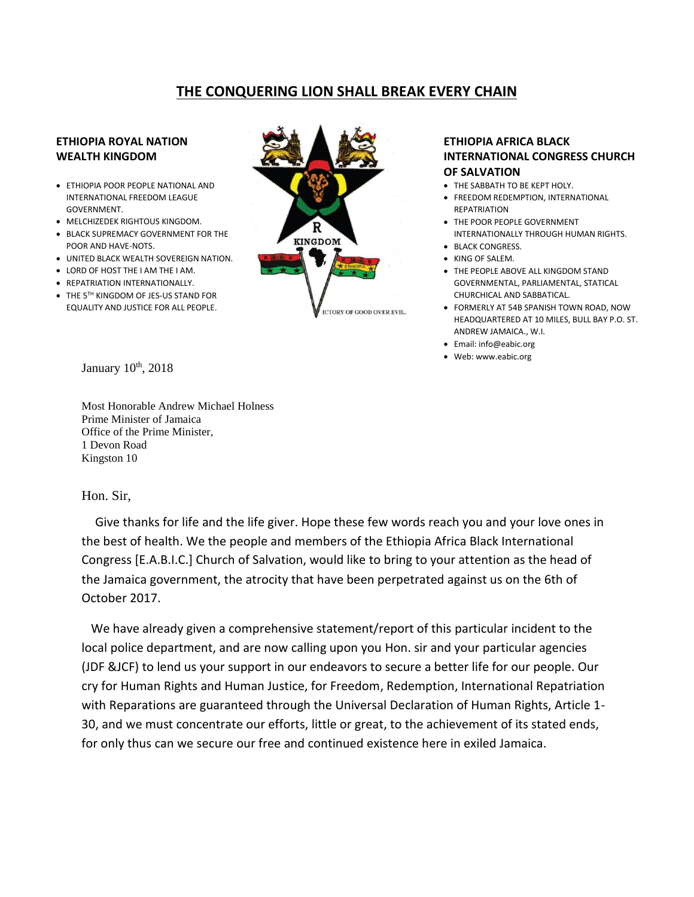## **THE CONQUERING LION SHALL BREAK EVERY CHAIN**

## **ETHIOPIA ROYAL NATION WEALTH KINGDOM**

- ETHIOPIA POOR PEOPLE NATIONAL AND INTERNATIONAL FREEDOM LEAGUE GOVERNMENT.
- MELCHIZEDEK RIGHTOUS KINGDOM.
- BLACK SUPREMACY GOVERNMENT FOR THE POOR AND HAVE-NOTS.
- UNITED BLACK WEALTH SOVEREIGN NATION.
- LORD OF HOST THE I AM THE I AM.
- REPATRIATION INTERNATIONALLY.
- THE 5TH KINGDOM OF JES-US STAND FOR EQUALITY AND JUSTICE FOR ALL PEOPLE.



## **ETHIOPIA AFRICA BLACK INTERNATIONAL CONGRESS CHURCH OF SALVATION**

- THE SABBATH TO BE KEPT HOLY.
- FREEDOM REDEMPTION, INTERNATIONAL **REPATRIATION**
- THE POOR PEOPLE GOVERNMENT INTERNATIONALLY THROUGH HUMAN RIGHTS.
- BLACK CONGRESS.
- KING OF SALEM.
- THE PEOPLE ABOVE ALL KINGDOM STAND GOVERNMENTAL, PARLIAMENTAL, STATICAL CHURCHICAL AND SABBATICAL.
- FORMERLY AT 54B SPANISH TOWN ROAD, NOW HEADQUARTERED AT 10 MILES, BULL BAY P.O. ST. ANDREW JAMAICA., W.I.
- Email: info@eabic.org
- Web: www.eabic.org

January 10<sup>th</sup>, 2018

Most Honorable Andrew Michael Holness Prime Minister of Jamaica Office of the Prime Minister, 1 Devon Road Kingston 10

## Hon. Sir,

 Give thanks for life and the life giver. Hope these few words reach you and your love ones in the best of health. We the people and members of the Ethiopia Africa Black International Congress [E.A.B.I.C.] Church of Salvation, would like to bring to your attention as the head of the Jamaica government, the atrocity that have been perpetrated against us on the 6th of October 2017.

 We have already given a comprehensive statement/report of this particular incident to the local police department, and are now calling upon you Hon. sir and your particular agencies (JDF &JCF) to lend us your support in our endeavors to secure a better life for our people. Our cry for Human Rights and Human Justice, for Freedom, Redemption, International Repatriation with Reparations are guaranteed through the Universal Declaration of Human Rights, Article 1- 30, and we must concentrate our efforts, little or great, to the achievement of its stated ends, for only thus can we secure our free and continued existence here in exiled Jamaica.